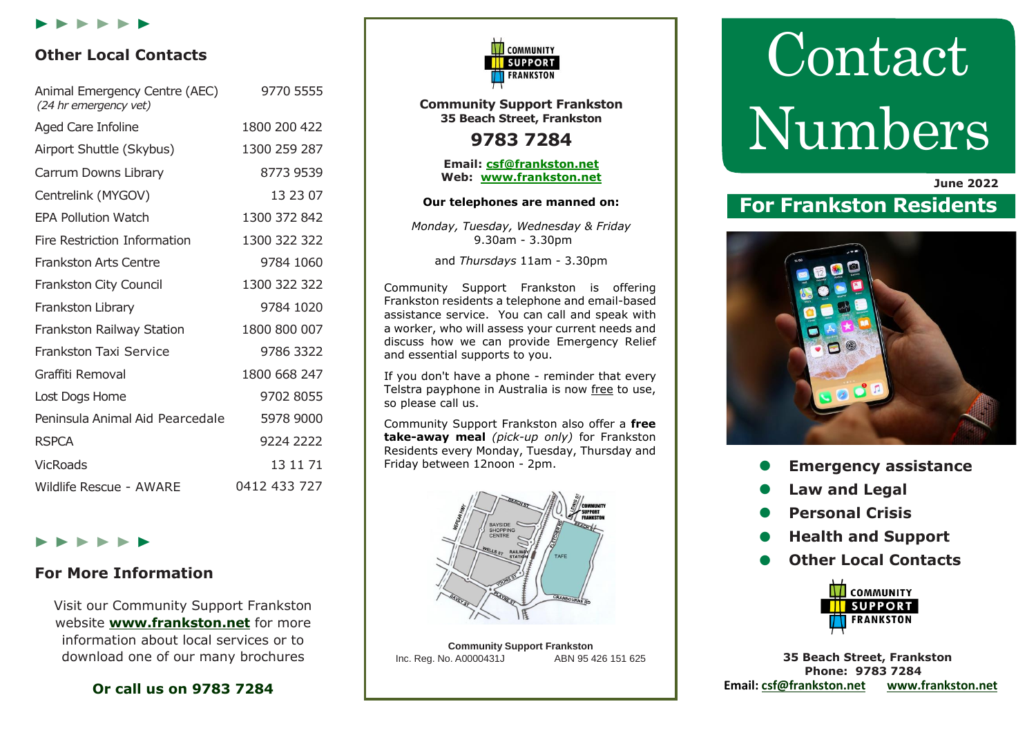

## **Other Local Contacts**

| Animal Emergency Centre (AEC)<br>(24 hr emergency vet) | 9770 5555    |
|--------------------------------------------------------|--------------|
| Aged Care Infoline                                     | 1800 200 422 |
| Airport Shuttle (Skybus)                               | 1300 259 287 |
| Carrum Downs Library                                   | 8773 9539    |
| Centrelink (MYGOV)                                     | 13 23 07     |
| <b>EPA Pollution Watch</b>                             | 1300 372 842 |
| Fire Restriction Information                           | 1300 322 322 |
| <b>Frankston Arts Centre</b>                           | 9784 1060    |
| Frankston City Council                                 | 1300 322 322 |
| Frankston Library                                      | 9784 1020    |
| Frankston Railway Station                              | 1800 800 007 |
| <b>Frankston Taxi Service</b>                          | 9786 3322    |
| Graffiti Removal                                       | 1800 668 247 |
| Lost Dogs Home                                         | 9702 8055    |
| Peninsula Animal Aid Pearcedale                        | 5978 9000    |
| <b>RSPCA</b>                                           | 9224 2222    |
| <b>VicRoads</b>                                        | 13 11 71     |
| Wildlife Rescue - AWARE                                | 0412 433 727 |

## $\blacktriangleright\blacktriangleright\blacktriangleright\blacktriangleright\blacktriangleright\blacktriangleright\blacktriangleright$

## **For More Information**

Visit our Community Support Frankston website **[www.frankston.net](http://www.frankston.net/)** for more information about local services or to download one of our many brochures

## **Or call us on 9783 7284**



**Community Support Frankston 35 Beach Street, Frankston**

# **9783 7284**

**Email: [csf@frankston.net](mailto:csf@frankston.net) Web: [www.frankston.net](http://www.frankston.net/)**

#### **Our telephones are manned on:**

*Monday, Tuesday, Wednesday & Friday* 9.30am - 3.30pm

and *Thursdays* 11am - 3.30pm

Community Support Frankston is offering Frankston residents a telephone and email-based assistance service. You can call and speak with a worker, who will assess your current needs and discuss how we can provide Emergency Relief and essential supports to you.

If you don't have a phone - reminder that every Telstra payphone in Australia is now free to use, so please call us.

Community Support Frankston also offer a **free take-away meal** *(pick-up only)* for Frankston Residents every Monday, Tuesday, Thursday and Friday between 12noon - 2pm.



**Community Support Frankston** Inc. Reg. No. A0000431J

# **Contact** Numbers

 **June 2022**

# **For Frankston Residents**



- **Emergency assistance**
- **Law and Legal**
- **Personal Crisis**
- **Health and Support**
- **Other Local Contacts**



**35 Beach Street, Frankston Phone: 9783 7284 Email: [csf@frankston.net](mailto:csf@frankston.net) [www.frankston.net](http://www.frankston.net/)**